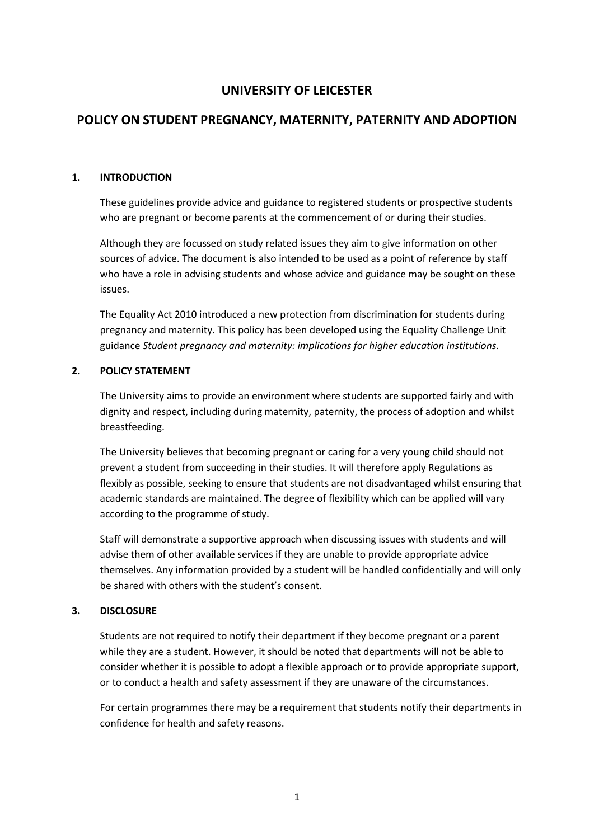# **UNIVERSITY OF LEICESTER**

# **POLICY ON STUDENT PREGNANCY, MATERNITY, PATERNITY AND ADOPTION**

# **1. INTRODUCTION**

These guidelines provide advice and guidance to registered students or prospective students who are pregnant or become parents at the commencement of or during their studies.

Although they are focussed on study related issues they aim to give information on other sources of advice. The document is also intended to be used as a point of reference by staff who have a role in advising students and whose advice and guidance may be sought on these issues.

The Equality Act 2010 introduced a new protection from discrimination for students during pregnancy and maternity. This policy has been developed using the Equality Challenge Unit guidance *Student pregnancy and maternity: implications for higher education institutions.*

#### **2. POLICY STATEMENT**

The University aims to provide an environment where students are supported fairly and with dignity and respect, including during maternity, paternity, the process of adoption and whilst breastfeeding.

The University believes that becoming pregnant or caring for a very young child should not prevent a student from succeeding in their studies. It will therefore apply Regulations as flexibly as possible, seeking to ensure that students are not disadvantaged whilst ensuring that academic standards are maintained. The degree of flexibility which can be applied will vary according to the programme of study.

Staff will demonstrate a supportive approach when discussing issues with students and will advise them of other available services if they are unable to provide appropriate advice themselves. Any information provided by a student will be handled confidentially and will only be shared with others with the student's consent.

#### **3. DISCLOSURE**

Students are not required to notify their department if they become pregnant or a parent while they are a student. However, it should be noted that departments will not be able to consider whether it is possible to adopt a flexible approach or to provide appropriate support, or to conduct a health and safety assessment if they are unaware of the circumstances.

For certain programmes there may be a requirement that students notify their departments in confidence for health and safety reasons.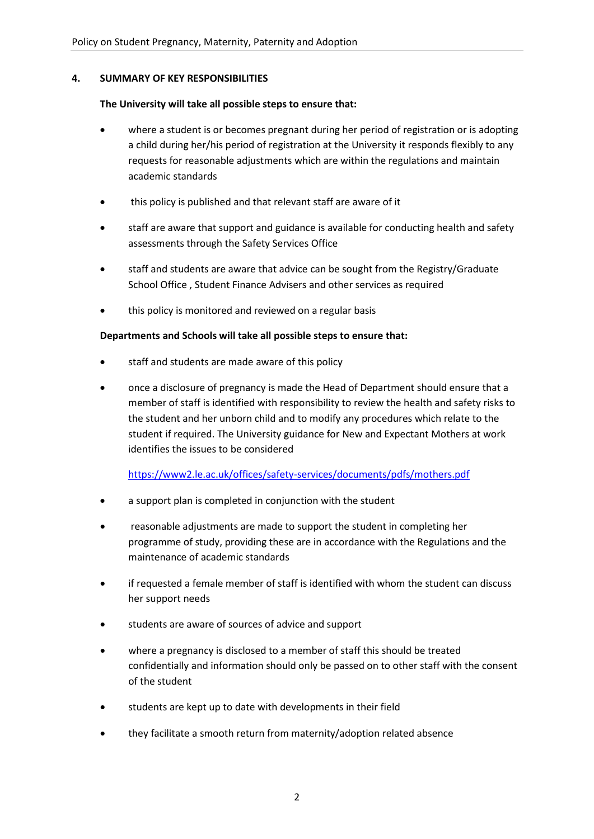### **4. SUMMARY OF KEY RESPONSIBILITIES**

#### **The University will take all possible steps to ensure that:**

- where a student is or becomes pregnant during her period of registration or is adopting a child during her/his period of registration at the University it responds flexibly to any requests for reasonable adjustments which are within the regulations and maintain academic standards
- this policy is published and that relevant staff are aware of it
- staff are aware that support and guidance is available for conducting health and safety assessments through the Safety Services Office
- staff and students are aware that advice can be sought from the Registry/Graduate School Office , Student Finance Advisers and other services as required
- this policy is monitored and reviewed on a regular basis

# **Departments and Schools will take all possible steps to ensure that:**

- staff and students are made aware of this policy
- once a disclosure of pregnancy is made the Head of Department should ensure that a member of staff is identified with responsibility to review the health and safety risks to the student and her unborn child and to modify any procedures which relate to the student if required. The University guidance for New and Expectant Mothers at work identifies the issues to be considered

<https://www2.le.ac.uk/offices/safety-services/documents/pdfs/mothers.pdf>

- a support plan is completed in conjunction with the student
- reasonable adjustments are made to support the student in completing her programme of study, providing these are in accordance with the Regulations and the maintenance of academic standards
- if requested a female member of staff is identified with whom the student can discuss her support needs
- students are aware of sources of advice and support
- where a pregnancy is disclosed to a member of staff this should be treated confidentially and information should only be passed on to other staff with the consent of the student
- students are kept up to date with developments in their field
- they facilitate a smooth return from maternity/adoption related absence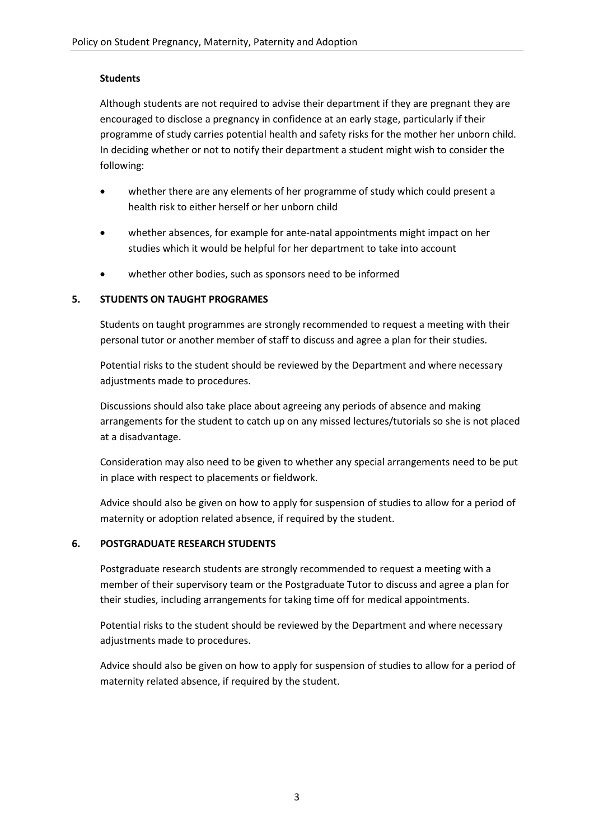# **Students**

Although students are not required to advise their department if they are pregnant they are encouraged to disclose a pregnancy in confidence at an early stage, particularly if their programme of study carries potential health and safety risks for the mother her unborn child. In deciding whether or not to notify their department a student might wish to consider the following:

- whether there are any elements of her programme of study which could present a health risk to either herself or her unborn child
- whether absences, for example for ante-natal appointments might impact on her studies which it would be helpful for her department to take into account
- whether other bodies, such as sponsors need to be informed

# **5. STUDENTS ON TAUGHT PROGRAMES**

Students on taught programmes are strongly recommended to request a meeting with their personal tutor or another member of staff to discuss and agree a plan for their studies.

Potential risks to the student should be reviewed by the Department and where necessary adjustments made to procedures.

Discussions should also take place about agreeing any periods of absence and making arrangements for the student to catch up on any missed lectures/tutorials so she is not placed at a disadvantage.

Consideration may also need to be given to whether any special arrangements need to be put in place with respect to placements or fieldwork.

Advice should also be given on how to apply for suspension of studies to allow for a period of maternity or adoption related absence, if required by the student.

# **6. POSTGRADUATE RESEARCH STUDENTS**

Postgraduate research students are strongly recommended to request a meeting with a member of their supervisory team or the Postgraduate Tutor to discuss and agree a plan for their studies, including arrangements for taking time off for medical appointments.

Potential risks to the student should be reviewed by the Department and where necessary adjustments made to procedures.

Advice should also be given on how to apply for suspension of studies to allow for a period of maternity related absence, if required by the student.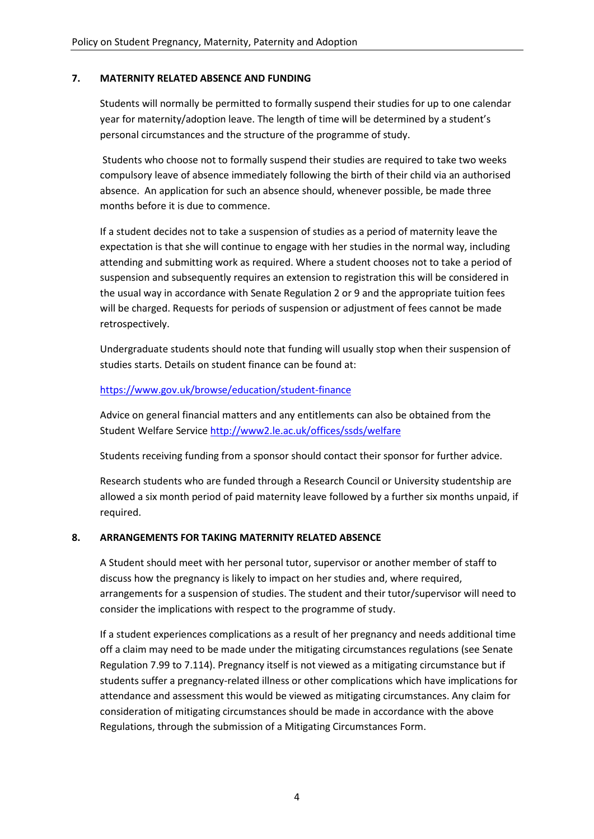# **7. MATERNITY RELATED ABSENCE AND FUNDING**

Students will normally be permitted to formally suspend their studies for up to one calendar year for maternity/adoption leave. The length of time will be determined by a student's personal circumstances and the structure of the programme of study.

Students who choose not to formally suspend their studies are required to take two weeks compulsory leave of absence immediately following the birth of their child via an authorised absence. An application for such an absence should, whenever possible, be made three months before it is due to commence.

If a student decides not to take a suspension of studies as a period of maternity leave the expectation is that she will continue to engage with her studies in the normal way, including attending and submitting work as required. Where a student chooses not to take a period of suspension and subsequently requires an extension to registration this will be considered in the usual way in accordance with Senate Regulation 2 or 9 and the appropriate tuition fees will be charged. Requests for periods of suspension or adjustment of fees cannot be made retrospectively.

Undergraduate students should note that funding will usually stop when their suspension of studies starts. Details on student finance can be found at:

#### <https://www.gov.uk/browse/education/student-finance>

Advice on general financial matters and any entitlements can also be obtained from the Student Welfare Servic[e http://www2.le.ac.uk/offices/ssds/welfare](http://www2.le.ac.uk/offices/ssds/welfare)

Students receiving funding from a sponsor should contact their sponsor for further advice.

Research students who are funded through a Research Council or University studentship are allowed a six month period of paid maternity leave followed by a further six months unpaid, if required.

# **8. ARRANGEMENTS FOR TAKING MATERNITY RELATED ABSENCE**

A Student should meet with her personal tutor, supervisor or another member of staff to discuss how the pregnancy is likely to impact on her studies and, where required, arrangements for a suspension of studies. The student and their tutor/supervisor will need to consider the implications with respect to the programme of study.

If a student experiences complications as a result of her pregnancy and needs additional time off a claim may need to be made under the mitigating circumstances regulations (see Senate Regulation 7.99 to 7.114). Pregnancy itself is not viewed as a mitigating circumstance but if students suffer a pregnancy-related illness or other complications which have implications for attendance and assessment this would be viewed as mitigating circumstances. Any claim for consideration of mitigating circumstances should be made in accordance with the above Regulations, through the submission of a Mitigating Circumstances Form.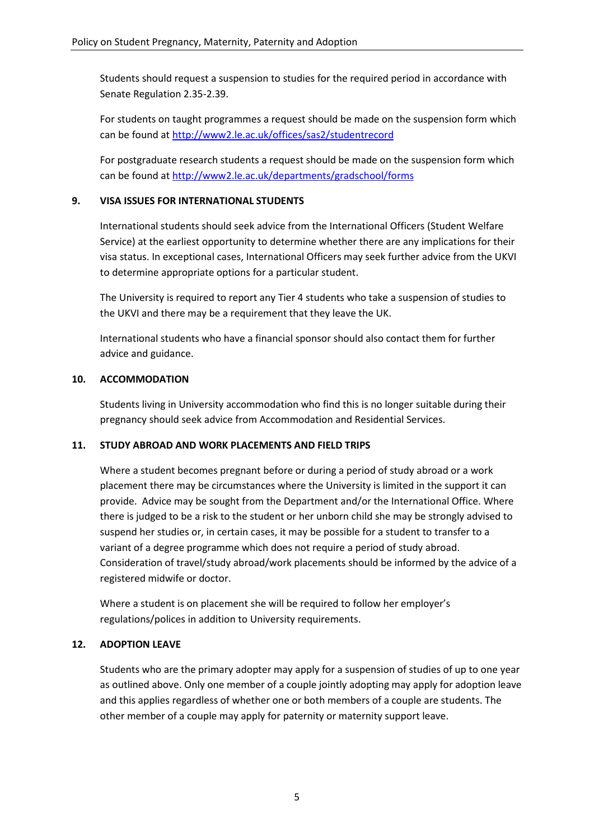Students should request a suspension to studies for the required period in accordance with Senate Regulation 2.35-2.39.

For students on taught programmes a request should be made on the suspension form which can be found a[t http://www2.le.ac.uk/offices/sas2/studentrecord](http://www2.le.ac.uk/offices/sas2/studentrecord)

For postgraduate research students a request should be made on the suspension form which can be found a[t http://www2.le.ac.uk/departments/gradschool/forms](http://www2.le.ac.uk/departments/gradschool/forms)

# **9. VISA ISSUES FOR INTERNATIONAL STUDENTS**

International students should seek advice from the International Officers (Student Welfare Service) at the earliest opportunity to determine whether there are any implications for their visa status. In exceptional cases, International Officers may seek further advice from the UKVI to determine appropriate options for a particular student.

The University is required to report any Tier 4 students who take a suspension of studies to the UKVI and there may be a requirement that they leave the UK.

International students who have a financial sponsor should also contact them for further advice and guidance.

# **10. ACCOMMODATION**

Students living in University accommodation who find this is no longer suitable during their pregnancy should seek advice from Accommodation and Residential Services.

# **11. STUDY ABROAD AND WORK PLACEMENTS AND FIELD TRIPS**

Where a student becomes pregnant before or during a period of study abroad or a work placement there may be circumstances where the University is limited in the support it can provide. Advice may be sought from the Department and/or the International Office. Where there is judged to be a risk to the student or her unborn child she may be strongly advised to suspend her studies or, in certain cases, it may be possible for a student to transfer to a variant of a degree programme which does not require a period of study abroad. Consideration of travel/study abroad/work placements should be informed by the advice of a registered midwife or doctor.

Where a student is on placement she will be required to follow her employer's regulations/polices in addition to University requirements.

# **12. ADOPTION LEAVE**

Students who are the primary adopter may apply for a suspension of studies of up to one year as outlined above. Only one member of a couple jointly adopting may apply for adoption leave and this applies regardless of whether one or both members of a couple are students. The other member of a couple may apply for paternity or maternity support leave.